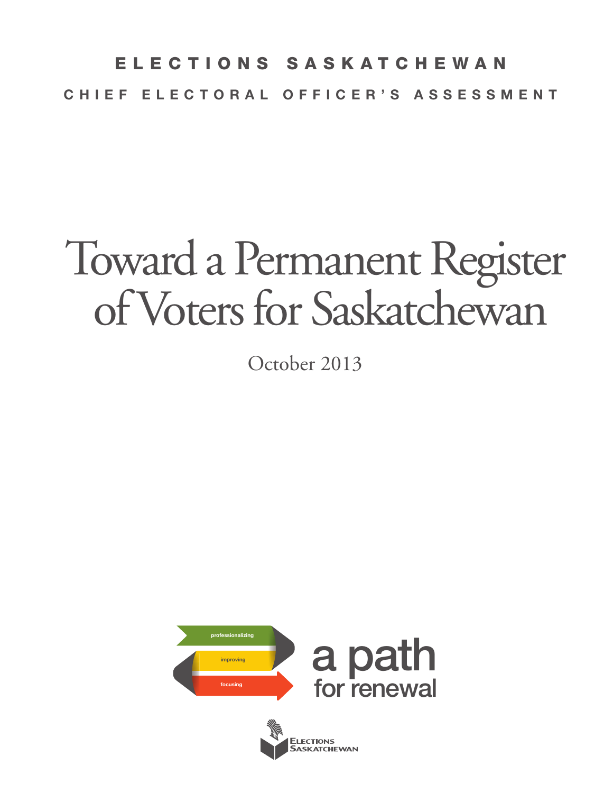## E L E C T I O N S S A S K A T C H E W A N CHIEF ELECTORAL OFFICER'S ASSESSMENT

# Toward a Permanent Register of Voters for Saskatchewan

October 2013



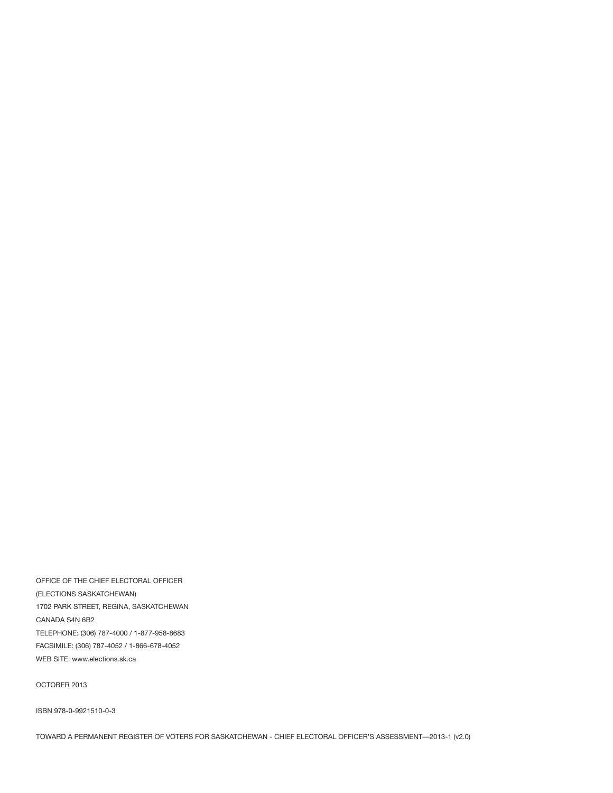OFFICE OF THE CHIEF ELECTORAL OFFICER (ELECTIONS SASKATCHEWAN) 1702 PARK STREET, REGINA, SASKATCHEWAN CANADA S4N 6B2 TELEPHONE: (306) 787-4000 / 1-877-958-8683 FACSIMILE: (306) 787-4052 / 1-866-678-4052 WEB SITE: www.elections.sk.ca

OCTOBER 2013

ISBN 978-0-9921510-0-3

TOWARD A PERMANENT REGISTER OF VOTERS FOR SASKATCHEWAN - CHIEF ELECTORAL OFFICER'S ASSESSMENT—2013-1 (v2.0)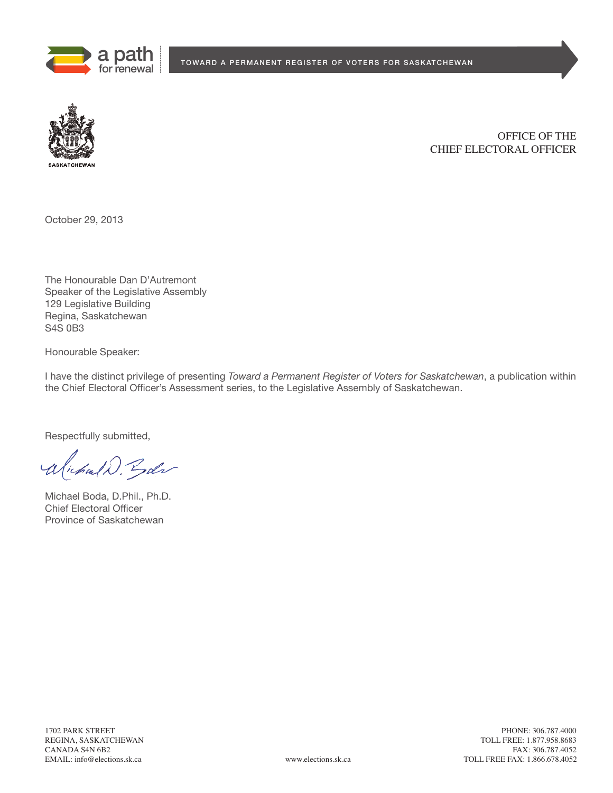



OFFICE OF THE CHIEF ELECTORAL OFFICER

October 29, 2013

The Honourable Dan D'Autremont Speaker of the Legislative Assembly 129 Legislative Building Regina, Saskatchewan S4S 0B3

Honourable Speaker:

I have the distinct privilege of presenting *Toward a Permanent Register of Voters for Saskatchewan*, a publication within the Chief Electoral Officer's Assessment series, to the Legislative Assembly of Saskatchewan.

Respectfully submitted,

alichald. Gode

Michael Boda, D.Phil., Ph.D. Chief Electoral Officer Province of Saskatchewan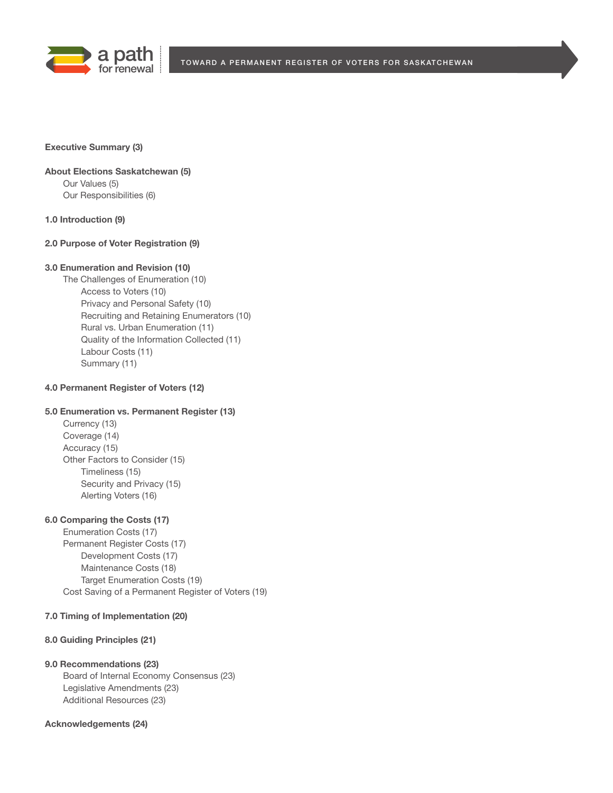

#### **Executive Summary (3)**

### **About Elections Saskatchewan (5)** Our Values (5) Our Responsibilities (6)

**1.0 Introduction (9)**

## **2.0 Purpose of Voter Registration (9)**

#### **3.0 Enumeration and Revision (10)**

The Challenges of Enumeration (10) Access to Voters (10) Privacy and Personal Safety (10) Recruiting and Retaining Enumerators (10) Rural vs. Urban Enumeration (11) Quality of the Information Collected (11) Labour Costs (11) Summary (11)

### **4.0 Permanent Register of Voters (12)**

## **5.0 Enumeration vs. Permanent Register (13)**

Currency (13) Coverage (14) Accuracy (15) Other Factors to Consider (15) Timeliness (15) Security and Privacy (15) Alerting Voters (16)

#### **6.0 Comparing the Costs (17)**

Enumeration Costs (17) Permanent Register Costs (17) Development Costs (17) Maintenance Costs (18) Target Enumeration Costs (19) Cost Saving of a Permanent Register of Voters (19)

## **7.0 Timing of Implementation (20)**

## **8.0 Guiding Principles (21)**

#### **9.0 Recommendations (23)**

Board of Internal Economy Consensus (23) Legislative Amendments (23) Additional Resources (23)

#### **Acknowledgements (24)**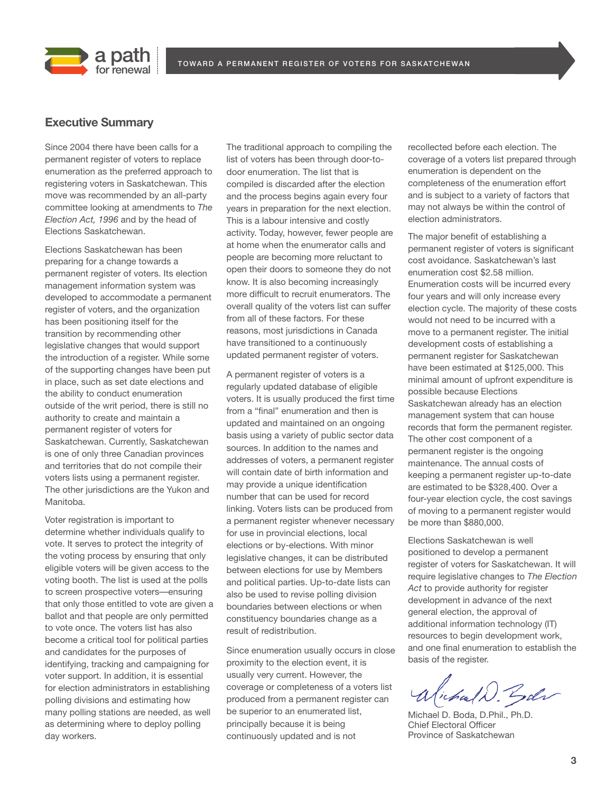



## **Executive Summary**

Since 2004 there have been calls for a permanent register of voters to replace enumeration as the preferred approach to registering voters in Saskatchewan. This move was recommended by an all-party committee looking at amendments to *The Election Act, 1996* and by the head of Elections Saskatchewan.

Elections Saskatchewan has been preparing for a change towards a permanent register of voters. Its election management information system was developed to accommodate a permanent register of voters, and the organization has been positioning itself for the transition by recommending other legislative changes that would support the introduction of a register. While some of the supporting changes have been put in place, such as set date elections and the ability to conduct enumeration outside of the writ period, there is still no authority to create and maintain a permanent register of voters for Saskatchewan. Currently, Saskatchewan is one of only three Canadian provinces and territories that do not compile their voters lists using a permanent register. The other jurisdictions are the Yukon and Manitoba.

Voter registration is important to determine whether individuals qualify to vote. It serves to protect the integrity of the voting process by ensuring that only eligible voters will be given access to the voting booth. The list is used at the polls to screen prospective voters—ensuring that only those entitled to vote are given a ballot and that people are only permitted to vote once. The voters list has also become a critical tool for political parties and candidates for the purposes of identifying, tracking and campaigning for voter support. In addition, it is essential for election administrators in establishing polling divisions and estimating how many polling stations are needed, as well as determining where to deploy polling day workers.

The traditional approach to compiling the list of voters has been through door-todoor enumeration. The list that is compiled is discarded after the election and the process begins again every four years in preparation for the next election. This is a labour intensive and costly activity. Today, however, fewer people are at home when the enumerator calls and people are becoming more reluctant to open their doors to someone they do not know. It is also becoming increasingly more difficult to recruit enumerators. The overall quality of the voters list can suffer from all of these factors. For these reasons, most jurisdictions in Canada have transitioned to a continuously updated permanent register of voters.

A permanent register of voters is a regularly updated database of eligible voters. It is usually produced the first time from a "final" enumeration and then is updated and maintained on an ongoing basis using a variety of public sector data sources. In addition to the names and addresses of voters, a permanent register will contain date of birth information and may provide a unique identification number that can be used for record linking. Voters lists can be produced from a permanent register whenever necessary for use in provincial elections, local elections or by-elections. With minor legislative changes, it can be distributed between elections for use by Members and political parties. Up-to-date lists can also be used to revise polling division boundaries between elections or when constituency boundaries change as a result of redistribution.

Since enumeration usually occurs in close proximity to the election event, it is usually very current. However, the coverage or completeness of a voters list produced from a permanent register can be superior to an enumerated list, principally because it is being continuously updated and is not

recollected before each election. The coverage of a voters list prepared through enumeration is dependent on the completeness of the enumeration effort and is subject to a variety of factors that may not always be within the control of election administrators.

The major benefit of establishing a permanent register of voters is significant cost avoidance. Saskatchewan's last enumeration cost \$2.58 million. Enumeration costs will be incurred every four years and will only increase every election cycle. The majority of these costs would not need to be incurred with a move to a permanent register. The initial development costs of establishing a permanent register for Saskatchewan have been estimated at \$125,000. This minimal amount of upfront expenditure is possible because Elections Saskatchewan already has an election management system that can house records that form the permanent register. The other cost component of a permanent register is the ongoing maintenance. The annual costs of keeping a permanent register up-to-date are estimated to be \$328,400. Over a four-year election cycle, the cost savings of moving to a permanent register would be more than \$880,000.

Elections Saskatchewan is well positioned to develop a permanent register of voters for Saskatchewan. It will require legislative changes to *The Election Act* to provide authority for register development in advance of the next general election, the approval of additional information technology (IT) resources to begin development work, and one final enumeration to establish the basis of the register.

ichald Boder

Michael D. Boda, D.Phil., Ph.D. Chief Electoral Officer Province of Saskatchewan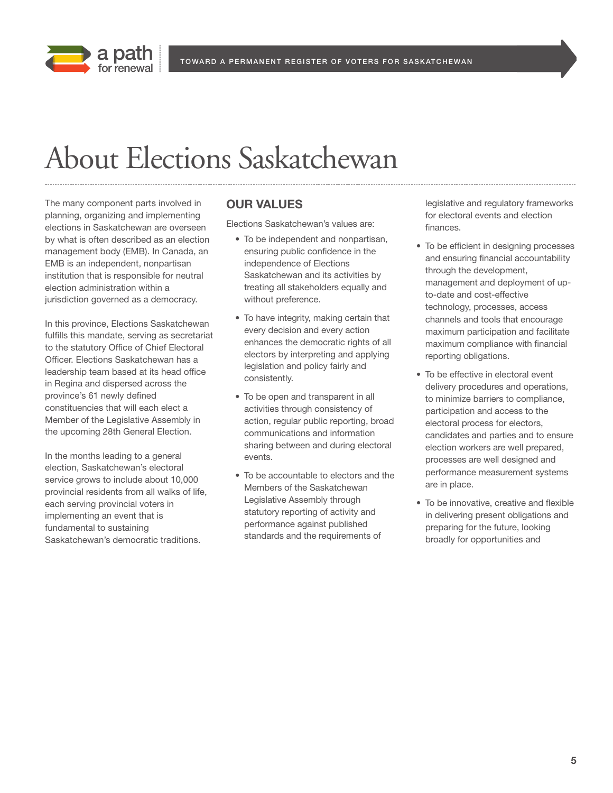



## About Elections Saskatchewan

The many component parts involved in planning, organizing and implementing elections in Saskatchewan are overseen by what is often described as an election management body (EMB). In Canada, an EMB is an independent, nonpartisan institution that is responsible for neutral election administration within a jurisdiction governed as a democracy.

In this province, Elections Saskatchewan fulfills this mandate, serving as secretariat to the statutory Office of Chief Electoral Officer. Elections Saskatchewan has a leadership team based at its head office in Regina and dispersed across the province's 61 newly defined constituencies that will each elect a Member of the Legislative Assembly in the upcoming 28th General Election.

In the months leading to a general election, Saskatchewan's electoral service grows to include about 10,000 provincial residents from all walks of life, each serving provincial voters in implementing an event that is fundamental to sustaining Saskatchewan's democratic traditions.

## **OUR VALUES**

Elections Saskatchewan's values are:

- To be independent and nonpartisan, ensuring public confidence in the independence of Elections Saskatchewan and its activities by treating all stakeholders equally and without preference.
- To have integrity, making certain that every decision and every action enhances the democratic rights of all electors by interpreting and applying legislation and policy fairly and consistently.
- To be open and transparent in all activities through consistency of action, regular public reporting, broad communications and information sharing between and during electoral events.
- To be accountable to electors and the Members of the Saskatchewan Legislative Assembly through statutory reporting of activity and performance against published standards and the requirements of

legislative and regulatory frameworks for electoral events and election finances.

- To be efficient in designing processes and ensuring financial accountability through the development, management and deployment of upto-date and cost-effective technology, processes, access channels and tools that encourage maximum participation and facilitate maximum compliance with financial reporting obligations.
- To be effective in electoral event delivery procedures and operations, to minimize barriers to compliance, participation and access to the electoral process for electors, candidates and parties and to ensure election workers are well prepared, processes are well designed and performance measurement systems are in place.
- To be innovative, creative and flexible in delivering present obligations and preparing for the future, looking broadly for opportunities and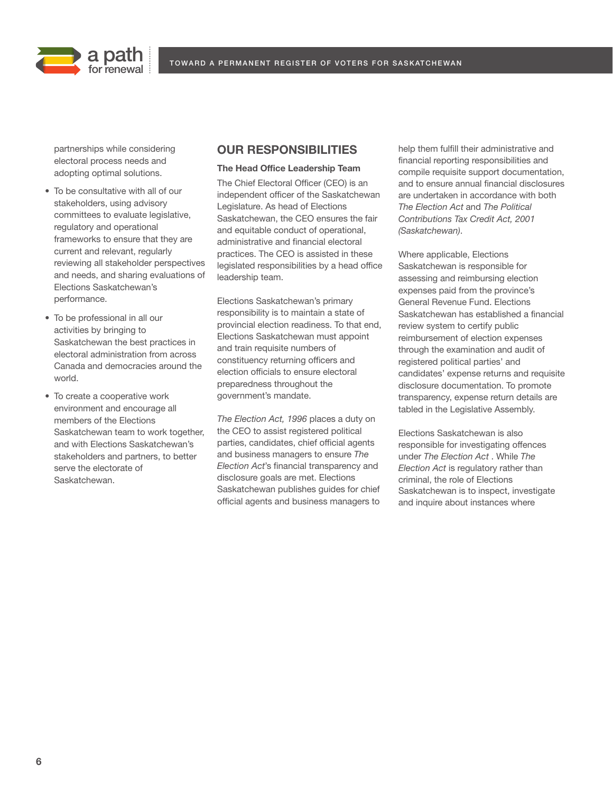

partnerships while considering electoral process needs and adopting optimal solutions.

- To be consultative with all of our stakeholders, using advisory committees to evaluate legislative, regulatory and operational frameworks to ensure that they are current and relevant, regularly reviewing all stakeholder perspectives and needs, and sharing evaluations of Elections Saskatchewan's performance.
- To be professional in all our activities by bringing to Saskatchewan the best practices in electoral administration from across Canada and democracies around the world.
- To create a cooperative work environment and encourage all members of the Elections Saskatchewan team to work together, and with Elections Saskatchewan's stakeholders and partners, to better serve the electorate of Saskatchewan.

## **OUR RESPONSIBILITIES**

#### **The Head Office Leadership Team**

The Chief Electoral Officer (CEO) is an independent officer of the Saskatchewan Legislature. As head of Elections Saskatchewan, the CEO ensures the fair and equitable conduct of operational, administrative and financial electoral practices. The CEO is assisted in these legislated responsibilities by a head office leadership team.

Elections Saskatchewan's primary responsibility is to maintain a state of provincial election readiness. To that end, Elections Saskatchewan must appoint and train requisite numbers of constituency returning officers and election officials to ensure electoral preparedness throughout the government's mandate.

*The Election Act, 1996* places a duty on the CEO to assist registered political parties, candidates, chief official agents and business managers to ensure *The Election Act*'s financial transparency and disclosure goals are met. Elections Saskatchewan publishes guides for chief official agents and business managers to help them fulfill their administrative and financial reporting responsibilities and compile requisite support documentation, and to ensure annual financial disclosures are undertaken in accordance with both *The Election Act* and *The Political Contributions Tax Credit Act, 2001 (Saskatchewan)*.

Where applicable, Elections Saskatchewan is responsible for assessing and reimbursing election expenses paid from the province's General Revenue Fund. Elections Saskatchewan has established a financial review system to certify public reimbursement of election expenses through the examination and audit of registered political parties' and candidates' expense returns and requisite disclosure documentation. To promote transparency, expense return details are tabled in the Legislative Assembly.

Elections Saskatchewan is also responsible for investigating offences under *The Election Act* . While *The Election Act* is regulatory rather than criminal, the role of Elections Saskatchewan is to inspect, investigate and inquire about instances where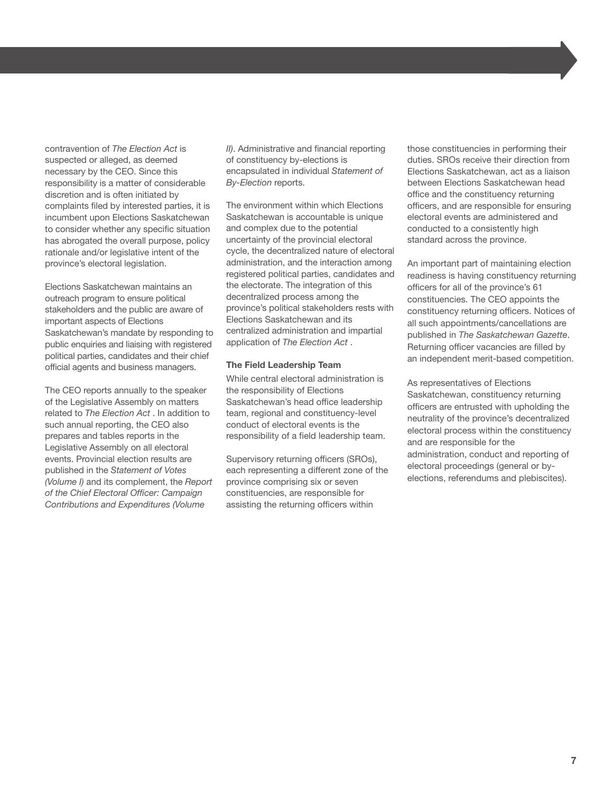contravention of *The Election Act* is suspected or alleged, as deemed necessary by the CEO. Since this responsibility is a matter of considerable discretion and is often initiated by complaints filed by interested parties, it is incumbent upon Elections Saskatchewan to consider whether any specific situation has abrogated the overall purpose, policy rationale and/or legislative intent of the province's electoral legislation.

Elections Saskatchewan maintains an outreach program to ensure political stakeholders and the public are aware of important aspects of Elections Saskatchewan's mandate by responding to public enquiries and liaising with registered political parties, candidates and their chief official agents and business managers.

The CEO reports annually to the speaker of the Legislative Assembly on matters related to *The Election Act* . In addition to such annual reporting, the CEO also prepares and tables reports in the Legislative Assembly on all electoral events. Provincial election results are published in the *Statement of Votes (Volume I)* and its complement, the *Report of the Chief Electoral Officer: Campaign Contributions and Expenditures (Volume*

*II)*. Administrative and financial reporting of constituency by-elections is encapsulated in individual *Statement of By-Election* reports.

The environment within which Elections Saskatchewan is accountable is unique and complex due to the potential uncertainty of the provincial electoral cycle, the decentralized nature of electoral administration, and the interaction among registered political parties, candidates and the electorate. The integration of this decentralized process among the province's political stakeholders rests with Elections Saskatchewan and its centralized administration and impartial application of *The Election Act* .

#### **The Field Leadership Team**

While central electoral administration is the responsibility of Elections Saskatchewan's head office leadership team, regional and constituency-level conduct of electoral events is the responsibility of a field leadership team.

Supervisory returning officers (SROs), each representing a different zone of the province comprising six or seven constituencies, are responsible for assisting the returning officers within

those constituencies in performing their duties. SROs receive their direction from Elections Saskatchewan, act as a liaison between Elections Saskatchewan head office and the constituency returning officers, and are responsible for ensuring electoral events are administered and conducted to a consistently high standard across the province.

An important part of maintaining election readiness is having constituency returning officers for all of the province's 61 constituencies. The CEO appoints the constituency returning officers. Notices of all such appointments/cancellations are published in *The Saskatchewan Gazette*. Returning officer vacancies are filled by an independent merit-based competition.

As representatives of Elections Saskatchewan, constituency returning officers are entrusted with upholding the neutrality of the province's decentralized electoral process within the constituency and are responsible for the administration, conduct and reporting of electoral proceedings (general or byelections, referendums and plebiscites).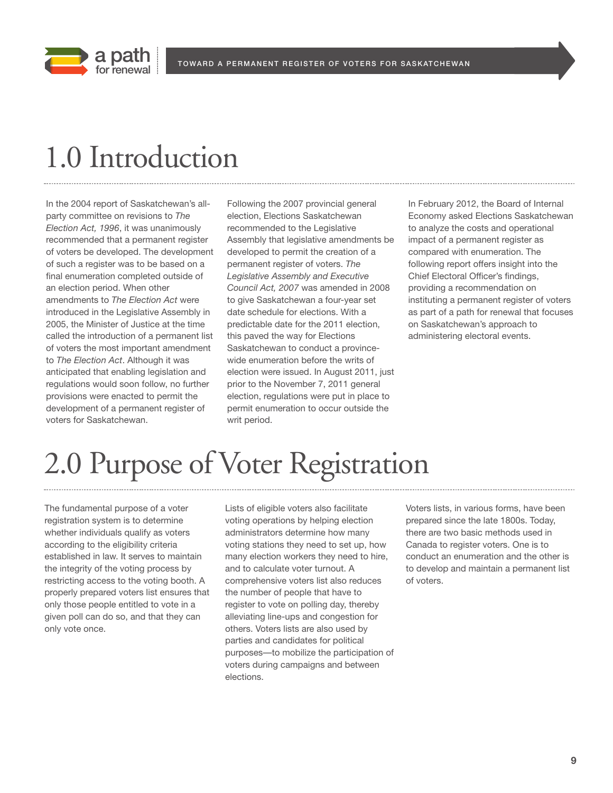

## 1.0 Introduction

In the 2004 report of Saskatchewan's allparty committee on revisions to *The Election Act, 1996*, it was unanimously recommended that a permanent register of voters be developed. The development of such a register was to be based on a final enumeration completed outside of an election period. When other amendments to *The Election Act* were introduced in the Legislative Assembly in 2005, the Minister of Justice at the time called the introduction of a permanent list of voters the most important amendment to *The Election Act*. Although it was anticipated that enabling legislation and regulations would soon follow, no further provisions were enacted to permit the development of a permanent register of voters for Saskatchewan.

Following the 2007 provincial general election, Elections Saskatchewan recommended to the Legislative Assembly that legislative amendments be developed to permit the creation of a permanent register of voters. *The Legislative Assembly and Executive Council Act, 2007* was amended in 2008 to give Saskatchewan a four-year set date schedule for elections. With a predictable date for the 2011 election, this paved the way for Elections Saskatchewan to conduct a provincewide enumeration before the writs of election were issued. In August 2011, just prior to the November 7, 2011 general election, regulations were put in place to permit enumeration to occur outside the writ period.

In February 2012, the Board of Internal Economy asked Elections Saskatchewan to analyze the costs and operational impact of a permanent register as compared with enumeration. The following report offers insight into the Chief Electoral Officer's findings, providing a recommendation on instituting a permanent register of voters as part of a path for renewal that focuses on Saskatchewan's approach to administering electoral events.

## 2.0 Purpose of Voter Registration

The fundamental purpose of a voter registration system is to determine whether individuals qualify as voters according to the eligibility criteria established in law. It serves to maintain the integrity of the voting process by restricting access to the voting booth. A properly prepared voters list ensures that only those people entitled to vote in a given poll can do so, and that they can only vote once.

Lists of eligible voters also facilitate voting operations by helping election administrators determine how many voting stations they need to set up, how many election workers they need to hire, and to calculate voter turnout. A comprehensive voters list also reduces the number of people that have to register to vote on polling day, thereby alleviating line-ups and congestion for others. Voters lists are also used by parties and candidates for political purposes—to mobilize the participation of voters during campaigns and between elections.

Voters lists, in various forms, have been prepared since the late 1800s. Today, there are two basic methods used in Canada to register voters. One is to conduct an enumeration and the other is to develop and maintain a permanent list of voters.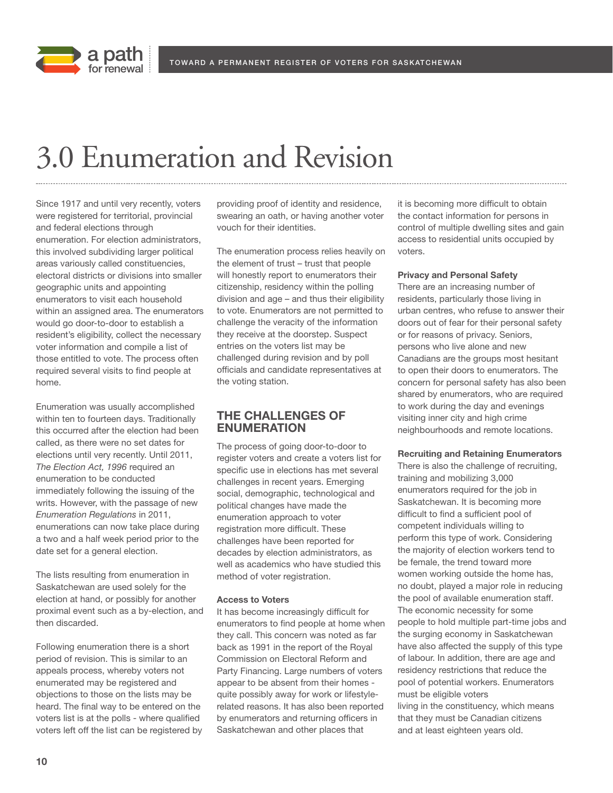



## 3.0 Enumeration and Revision

Since 1917 and until very recently, voters were registered for territorial, provincial and federal elections through enumeration. For election administrators, this involved subdividing larger political areas variously called constituencies, electoral districts or divisions into smaller geographic units and appointing enumerators to visit each household within an assigned area. The enumerators would go door-to-door to establish a resident's eligibility, collect the necessary voter information and compile a list of those entitled to vote. The process often required several visits to find people at home.

Enumeration was usually accomplished within ten to fourteen days. Traditionally this occurred after the election had been called, as there were no set dates for elections until very recently. Until 2011, *The Election Act, 1996* required an enumeration to be conducted immediately following the issuing of the writs. However, with the passage of new *Enumeration Regulations* in 2011, enumerations can now take place during a two and a half week period prior to the date set for a general election.

The lists resulting from enumeration in Saskatchewan are used solely for the election at hand, or possibly for another proximal event such as a by-election, and then discarded.

Following enumeration there is a short period of revision. This is similar to an appeals process, whereby voters not enumerated may be registered and objections to those on the lists may be heard. The final way to be entered on the voters list is at the polls - where qualified voters left off the list can be registered by providing proof of identity and residence, swearing an oath, or having another voter vouch for their identities.

The enumeration process relies heavily on the element of trust – trust that people will honestly report to enumerators their citizenship, residency within the polling division and age – and thus their eligibility to vote. Enumerators are not permitted to challenge the veracity of the information they receive at the doorstep. Suspect entries on the voters list may be challenged during revision and by poll officials and candidate representatives at the voting station.

## **THE CHALLENGES OF ENUMERATION**

The process of going door-to-door to register voters and create a voters list for specific use in elections has met several challenges in recent years. Emerging social, demographic, technological and political changes have made the enumeration approach to voter registration more difficult. These challenges have been reported for decades by election administrators, as well as academics who have studied this method of voter registration.

### **Access to Voters**

It has become increasingly difficult for enumerators to find people at home when they call. This concern was noted as far back as 1991 in the report of the Royal Commission on Electoral Reform and Party Financing. Large numbers of voters appear to be absent from their homes quite possibly away for work or lifestylerelated reasons. It has also been reported by enumerators and returning officers in Saskatchewan and other places that

it is becoming more difficult to obtain the contact information for persons in control of multiple dwelling sites and gain access to residential units occupied by voters.

#### **Privacy and Personal Safety**

There are an increasing number of residents, particularly those living in urban centres, who refuse to answer their doors out of fear for their personal safety or for reasons of privacy. Seniors, persons who live alone and new Canadians are the groups most hesitant to open their doors to enumerators. The concern for personal safety has also been shared by enumerators, who are required to work during the day and evenings visiting inner city and high crime neighbourhoods and remote locations.

#### **Recruiting and Retaining Enumerators**

There is also the challenge of recruiting, training and mobilizing 3,000 enumerators required for the job in Saskatchewan. It is becoming more difficult to find a sufficient pool of competent individuals willing to perform this type of work. Considering the majority of election workers tend to be female, the trend toward more women working outside the home has, no doubt, played a major role in reducing the pool of available enumeration staff. The economic necessity for some people to hold multiple part-time jobs and the surging economy in Saskatchewan have also affected the supply of this type of labour. In addition, there are age and residency restrictions that reduce the pool of potential workers. Enumerators must be eligible voters living in the constituency, which means that they must be Canadian citizens and at least eighteen years old.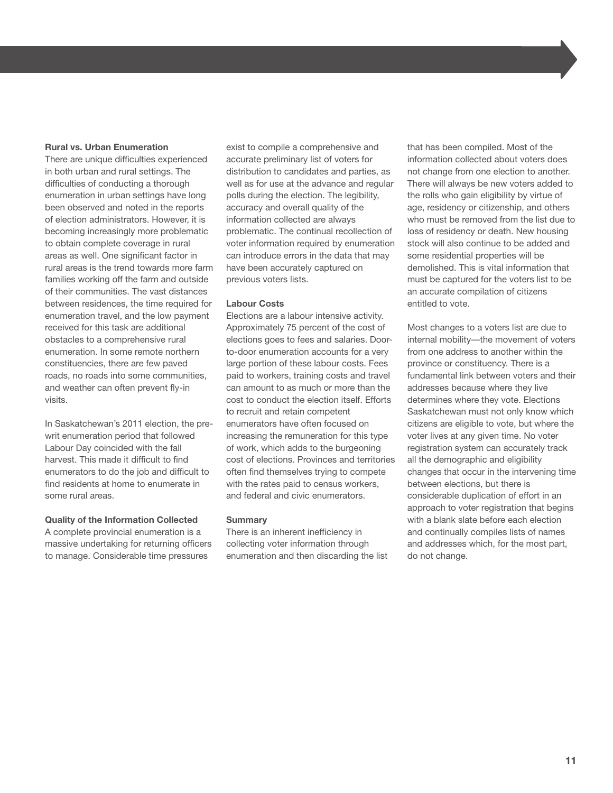### **Rural vs. Urban Enumeration**

There are unique difficulties experienced in both urban and rural settings. The difficulties of conducting a thorough enumeration in urban settings have long been observed and noted in the reports of election administrators. However, it is becoming increasingly more problematic to obtain complete coverage in rural areas as well. One significant factor in rural areas is the trend towards more farm families working off the farm and outside of their communities. The vast distances between residences, the time required for enumeration travel, and the low payment received for this task are additional obstacles to a comprehensive rural enumeration. In some remote northern constituencies, there are few paved roads, no roads into some communities, and weather can often prevent fly-in visits.

In Saskatchewan's 2011 election, the prewrit enumeration period that followed Labour Day coincided with the fall harvest. This made it difficult to find enumerators to do the job and difficult to find residents at home to enumerate in some rural areas.

### **Quality of the Information Collected**

A complete provincial enumeration is a massive undertaking for returning officers to manage. Considerable time pressures

exist to compile a comprehensive and accurate preliminary list of voters for distribution to candidates and parties, as well as for use at the advance and regular polls during the election. The legibility, accuracy and overall quality of the information collected are always problematic. The continual recollection of voter information required by enumeration can introduce errors in the data that may have been accurately captured on previous voters lists.

#### **Labour Costs**

Elections are a labour intensive activity. Approximately 75 percent of the cost of elections goes to fees and salaries. Doorto-door enumeration accounts for a very large portion of these labour costs. Fees paid to workers, training costs and travel can amount to as much or more than the cost to conduct the election itself. Efforts to recruit and retain competent enumerators have often focused on increasing the remuneration for this type of work, which adds to the burgeoning cost of elections. Provinces and territories often find themselves trying to compete with the rates paid to census workers, and federal and civic enumerators.

### **Summary**

There is an inherent inefficiency in collecting voter information through enumeration and then discarding the list that has been compiled. Most of the information collected about voters does not change from one election to another. There will always be new voters added to the rolls who gain eligibility by virtue of age, residency or citizenship, and others who must be removed from the list due to loss of residency or death. New housing stock will also continue to be added and some residential properties will be demolished. This is vital information that must be captured for the voters list to be an accurate compilation of citizens entitled to vote.

Most changes to a voters list are due to internal mobility—the movement of voters from one address to another within the province or constituency. There is a fundamental link between voters and their addresses because where they live determines where they vote. Elections Saskatchewan must not only know which citizens are eligible to vote, but where the voter lives at any given time. No voter registration system can accurately track all the demographic and eligibility changes that occur in the intervening time between elections, but there is considerable duplication of effort in an approach to voter registration that begins with a blank slate before each election and continually compiles lists of names and addresses which, for the most part, do not change.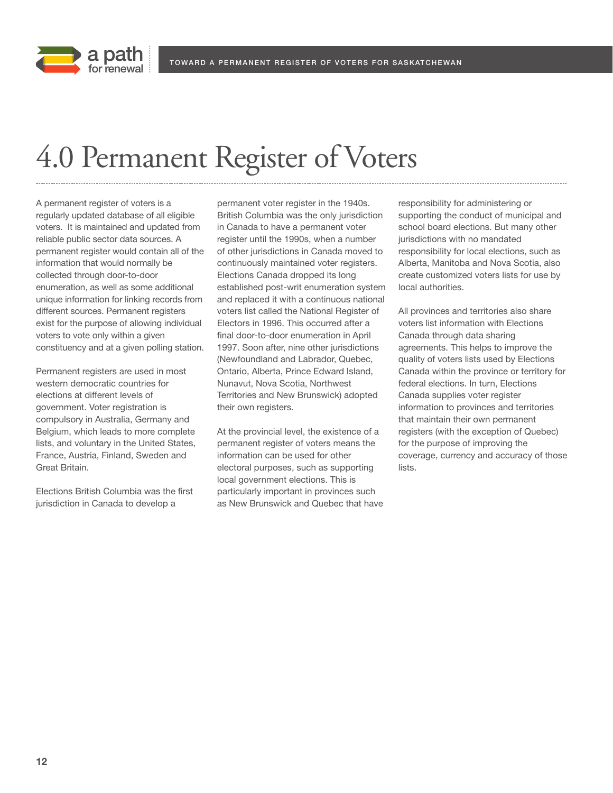



## 4.0 Permanent Register of Voters

A permanent register of voters is a regularly updated database of all eligible voters. It is maintained and updated from reliable public sector data sources. A permanent register would contain all of the information that would normally be collected through door-to-door enumeration, as well as some additional unique information for linking records from different sources. Permanent registers exist for the purpose of allowing individual voters to vote only within a given constituency and at a given polling station.

Permanent registers are used in most western democratic countries for elections at different levels of government. Voter registration is compulsory in Australia, Germany and Belgium, which leads to more complete lists, and voluntary in the United States, France, Austria, Finland, Sweden and Great Britain.

Elections British Columbia was the first jurisdiction in Canada to develop a

permanent voter register in the 1940s. British Columbia was the only jurisdiction in Canada to have a permanent voter register until the 1990s, when a number of other jurisdictions in Canada moved to continuously maintained voter registers. Elections Canada dropped its long established post-writ enumeration system and replaced it with a continuous national voters list called the National Register of Electors in 1996. This occurred after a final door-to-door enumeration in April 1997. Soon after, nine other jurisdictions (Newfoundland and Labrador, Quebec, Ontario, Alberta, Prince Edward Island, Nunavut, Nova Scotia, Northwest Territories and New Brunswick) adopted their own registers.

At the provincial level, the existence of a permanent register of voters means the information can be used for other electoral purposes, such as supporting local government elections. This is particularly important in provinces such as New Brunswick and Quebec that have responsibility for administering or supporting the conduct of municipal and school board elections. But many other jurisdictions with no mandated responsibility for local elections, such as Alberta, Manitoba and Nova Scotia, also create customized voters lists for use by local authorities.

All provinces and territories also share voters list information with Elections Canada through data sharing agreements. This helps to improve the quality of voters lists used by Elections Canada within the province or territory for federal elections. In turn, Elections Canada supplies voter register information to provinces and territories that maintain their own permanent registers (with the exception of Quebec) for the purpose of improving the coverage, currency and accuracy of those lists.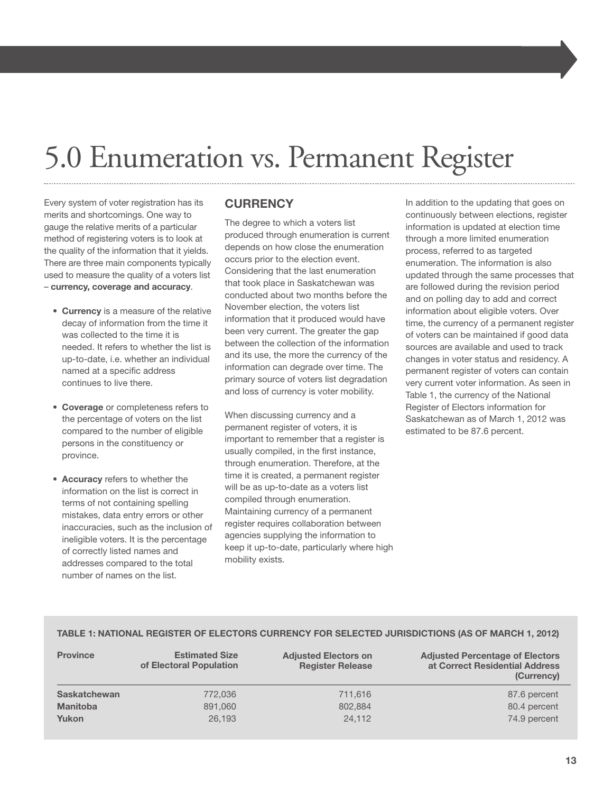## 5.0 Enumeration vs. Permanent Register

Every system of voter registration has its merits and shortcomings. One way to gauge the relative merits of a particular method of registering voters is to look at the quality of the information that it yields. There are three main components typically used to measure the quality of a voters list – **currency, coverage and accuracy**.

- **Currency** is a measure of the relative decay of information from the time it was collected to the time it is needed. It refers to whether the list is up-to-date, i.e. whether an individual named at a specific address continues to live there.
- **Coverage** or completeness refers to the percentage of voters on the list compared to the number of eligible persons in the constituency or province.
- **Accuracy** refers to whether the information on the list is correct in terms of not containing spelling mistakes, data entry errors or other inaccuracies, such as the inclusion of ineligible voters. It is the percentage of correctly listed names and addresses compared to the total number of names on the list.

## **CURRENCY**

The degree to which a voters list produced through enumeration is current depends on how close the enumeration occurs prior to the election event. Considering that the last enumeration that took place in Saskatchewan was conducted about two months before the November election, the voters list information that it produced would have been very current. The greater the gap between the collection of the information and its use, the more the currency of the information can degrade over time. The primary source of voters list degradation and loss of currency is voter mobility.

When discussing currency and a permanent register of voters, it is important to remember that a register is usually compiled, in the first instance, through enumeration. Therefore, at the time it is created, a permanent register will be as up-to-date as a voters list compiled through enumeration. Maintaining currency of a permanent register requires collaboration between agencies supplying the information to keep it up-to-date, particularly where high mobility exists.

In addition to the updating that goes on continuously between elections, register information is updated at election time through a more limited enumeration process, referred to as targeted enumeration. The information is also updated through the same processes that are followed during the revision period and on polling day to add and correct information about eligible voters. Over time, the currency of a permanent register of voters can be maintained if good data sources are available and used to track changes in voter status and residency. A permanent register of voters can contain very current voter information. As seen in Table 1, the currency of the National Register of Electors information for Saskatchewan as of March 1, 2012 was estimated to be 87.6 percent.

### **TABLE 1: NATIONAL REGISTER OF ELECTORS CURRENCY FOR SELECTED JURISDICTIONS (AS OF MARCH 1, 2012)**

| <b>Province</b>     | <b>Estimated Size</b><br>of Electoral Population | <b>Adjusted Electors on</b><br><b>Register Release</b> | <b>Adjusted Percentage of Electors</b><br>at Correct Residential Address<br>(Currency) |
|---------------------|--------------------------------------------------|--------------------------------------------------------|----------------------------------------------------------------------------------------|
| <b>Saskatchewan</b> | 772,036                                          | 711.616                                                | 87.6 percent                                                                           |
| <b>Manitoba</b>     | 891,060                                          | 802,884                                                | 80.4 percent                                                                           |
| Yukon               | 26,193                                           | 24.112                                                 | 74.9 percent                                                                           |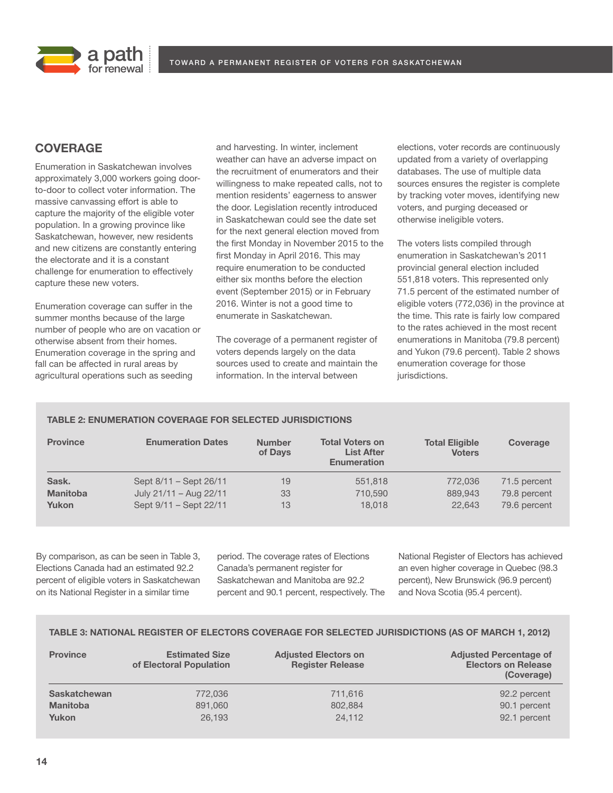



## **COVERAGE**

Enumeration in Saskatchewan involves approximately 3,000 workers going doorto-door to collect voter information. The massive canvassing effort is able to capture the majority of the eligible voter population. In a growing province like Saskatchewan, however, new residents and new citizens are constantly entering the electorate and it is a constant challenge for enumeration to effectively capture these new voters.

Enumeration coverage can suffer in the summer months because of the large number of people who are on vacation or otherwise absent from their homes. Enumeration coverage in the spring and fall can be affected in rural areas by agricultural operations such as seeding

and harvesting. In winter, inclement weather can have an adverse impact on the recruitment of enumerators and their willingness to make repeated calls, not to mention residents' eagerness to answer the door. Legislation recently introduced in Saskatchewan could see the date set for the next general election moved from the first Monday in November 2015 to the first Monday in April 2016. This may require enumeration to be conducted either six months before the election event (September 2015) or in February 2016. Winter is not a good time to enumerate in Saskatchewan.

The coverage of a permanent register of voters depends largely on the data sources used to create and maintain the information. In the interval between

elections, voter records are continuously updated from a variety of overlapping databases. The use of multiple data sources ensures the register is complete by tracking voter moves, identifying new voters, and purging deceased or otherwise ineligible voters.

The voters lists compiled through enumeration in Saskatchewan's 2011 provincial general election included 551,818 voters. This represented only 71.5 percent of the estimated number of eligible voters (772,036) in the province at the time. This rate is fairly low compared to the rates achieved in the most recent enumerations in Manitoba (79.8 percent) and Yukon (79.6 percent). Table 2 shows enumeration coverage for those jurisdictions.

## **TABLE 2: ENUMERATION COVERAGE FOR SELECTED JURISDICTIONS**

| <b>Province</b>          | <b>Enumeration Dates</b>                         | <b>Number</b><br>of Days | <b>Total Voters on</b><br><b>List After</b><br><b>Enumeration</b> | <b>Total Eligible</b><br><b>Voters</b> | Coverage                     |
|--------------------------|--------------------------------------------------|--------------------------|-------------------------------------------------------------------|----------------------------------------|------------------------------|
| Sask.<br><b>Manitoba</b> | Sept 8/11 - Sept 26/11<br>July 21/11 - Aug 22/11 | 19<br>33                 | 551,818<br>710,590                                                | 772,036<br>889,943                     | 71.5 percent<br>79.8 percent |
| Yukon                    | Sept 9/11 - Sept 22/11                           | 13                       | 18.018                                                            | 22,643                                 | 79.6 percent                 |

By comparison, as can be seen in Table 3, Elections Canada had an estimated 92.2 percent of eligible voters in Saskatchewan on its National Register in a similar time

period. The coverage rates of Elections Canada's permanent register for Saskatchewan and Manitoba are 92.2 percent and 90.1 percent, respectively. The National Register of Electors has achieved an even higher coverage in Quebec (98.3 percent), New Brunswick (96.9 percent) and Nova Scotia (95.4 percent).

### **TABLE 3: NATIONAL REGISTER OF ELECTORS COVERAGE FOR SELECTED JURISDICTIONS (AS OF MARCH 1, 2012)**

| <b>Province</b>     | <b>Estimated Size</b><br>of Electoral Population | <b>Adjusted Electors on</b><br><b>Register Release</b> | <b>Adjusted Percentage of</b><br><b>Electors on Release</b><br>(Coverage) |
|---------------------|--------------------------------------------------|--------------------------------------------------------|---------------------------------------------------------------------------|
| <b>Saskatchewan</b> | 772,036                                          | 711,616                                                | 92.2 percent                                                              |
| <b>Manitoba</b>     | 891,060                                          | 802.884                                                | 90.1 percent                                                              |
| Yukon               | 26.193                                           | 24.112                                                 | 92.1 percent                                                              |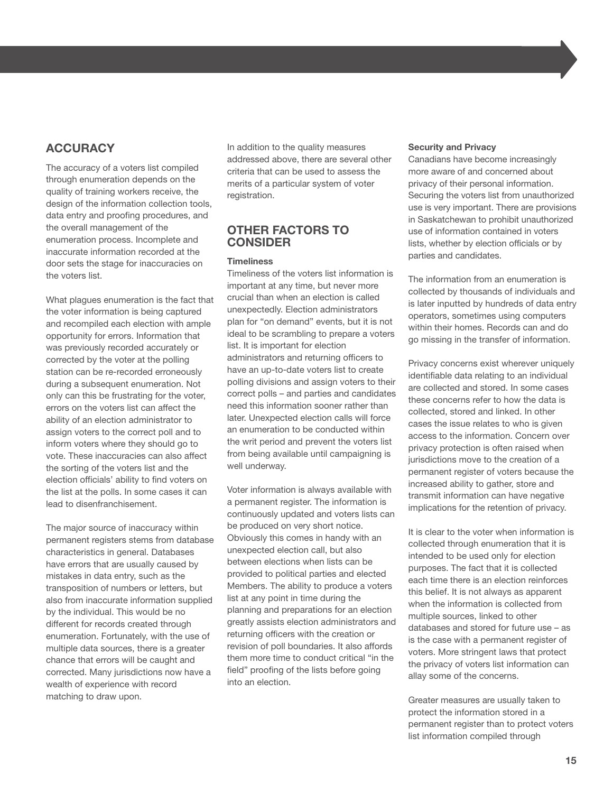## **ACCURACY**

The accuracy of a voters list compiled through enumeration depends on the quality of training workers receive, the design of the information collection tools, data entry and proofing procedures, and the overall management of the enumeration process. Incomplete and inaccurate information recorded at the door sets the stage for inaccuracies on the voters list.

What plagues enumeration is the fact that the voter information is being captured and recompiled each election with ample opportunity for errors. Information that was previously recorded accurately or corrected by the voter at the polling station can be re-recorded erroneously during a subsequent enumeration. Not only can this be frustrating for the voter, errors on the voters list can affect the ability of an election administrator to assign voters to the correct poll and to inform voters where they should go to vote. These inaccuracies can also affect the sorting of the voters list and the election officials' ability to find voters on the list at the polls. In some cases it can lead to disenfranchisement.

The major source of inaccuracy within permanent registers stems from database characteristics in general. Databases have errors that are usually caused by mistakes in data entry, such as the transposition of numbers or letters, but also from inaccurate information supplied by the individual. This would be no different for records created through enumeration. Fortunately, with the use of multiple data sources, there is a greater chance that errors will be caught and corrected. Many jurisdictions now have a wealth of experience with record matching to draw upon.

In addition to the quality measures addressed above, there are several other criteria that can be used to assess the merits of a particular system of voter registration.

## **OTHER FACTORS TO CONSIDER**

### **Timeliness**

Timeliness of the voters list information is important at any time, but never more crucial than when an election is called unexpectedly. Election administrators plan for "on demand" events, but it is not ideal to be scrambling to prepare a voters list. It is important for election administrators and returning officers to have an up-to-date voters list to create polling divisions and assign voters to their correct polls – and parties and candidates need this information sooner rather than later. Unexpected election calls will force an enumeration to be conducted within the writ period and prevent the voters list from being available until campaigning is well underway.

Voter information is always available with a permanent register. The information is continuously updated and voters lists can be produced on very short notice. Obviously this comes in handy with an unexpected election call, but also between elections when lists can be provided to political parties and elected Members. The ability to produce a voters list at any point in time during the planning and preparations for an election greatly assists election administrators and returning officers with the creation or revision of poll boundaries. It also affords them more time to conduct critical "in the field" proofing of the lists before going into an election.

### **Security and Privacy**

Canadians have become increasingly more aware of and concerned about privacy of their personal information. Securing the voters list from unauthorized use is very important. There are provisions in Saskatchewan to prohibit unauthorized use of information contained in voters lists, whether by election officials or by parties and candidates.

The information from an enumeration is collected by thousands of individuals and is later inputted by hundreds of data entry operators, sometimes using computers within their homes. Records can and do go missing in the transfer of information.

Privacy concerns exist wherever uniquely identifiable data relating to an individual are collected and stored. In some cases these concerns refer to how the data is collected, stored and linked. In other cases the issue relates to who is given access to the information. Concern over privacy protection is often raised when jurisdictions move to the creation of a permanent register of voters because the increased ability to gather, store and transmit information can have negative implications for the retention of privacy.

It is clear to the voter when information is collected through enumeration that it is intended to be used only for election purposes. The fact that it is collected each time there is an election reinforces this belief. It is not always as apparent when the information is collected from multiple sources, linked to other databases and stored for future use – as is the case with a permanent register of voters. More stringent laws that protect the privacy of voters list information can allay some of the concerns.

Greater measures are usually taken to protect the information stored in a permanent register than to protect voters list information compiled through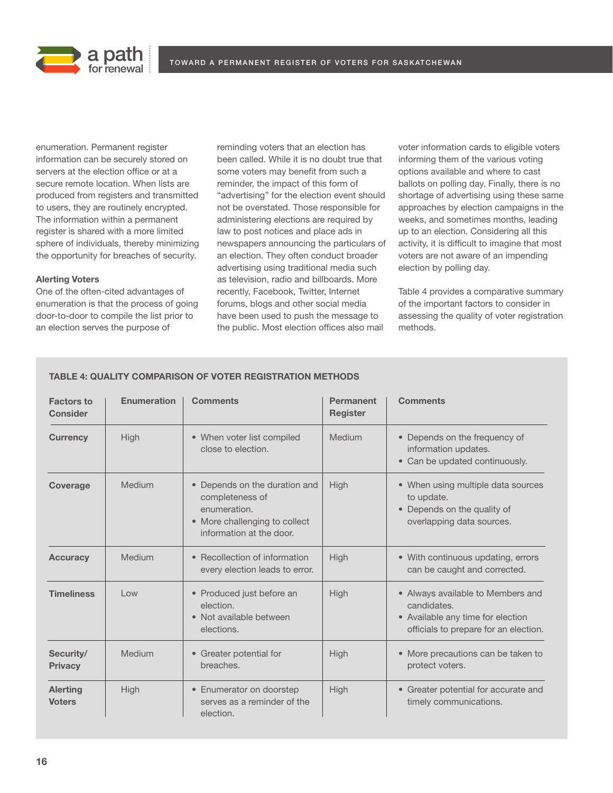



enumeration. Permanent register information can be securely stored on servers at the election office or at a secure remote location. When lists are produced from registers and transmitted to users, they are routinely encrypted. The information within a permanent register is shared with a more limited sphere of individuals, thereby minimizing the opportunity for breaches of security.

### **Alerting Voters**

One of the often-cited advantages of enumeration is that the process of going door-to-door to compile the list prior to an election serves the purpose of

reminding voters that an election has been called. While it is no doubt true that some voters may benefit from such a reminder, the impact of this form of "advertising" for the election event should not be overstated. Those responsible for administering elections are required by law to post notices and place ads in newspapers announcing the particulars of an election. They often conduct broader advertising using traditional media such as television, radio and billboards. More recently, Facebook, Twitter, Internet forums, blogs and other social media have been used to push the message to the public. Most election offices also mail

voter information cards to eligible voters informing them of the various voting options available and where to cast ballots on polling day. Finally, there is no shortage of advertising using these same approaches by election campaigns in the weeks, and sometimes months, leading up to an election. Considering all this activity, it is difficult to imagine that most voters are not aware of an impending election by polling day.

Table 4 provides a comparative summary of the important factors to consider in assessing the quality of voter registration methods.

| <b>Factors to</b><br><b>Consider</b> | <b>Enumeration</b>          | <b>Comments</b>                                                                                                               | Permanent<br><b>Register</b> | <b>Comments</b>                                                                                                                |
|--------------------------------------|-----------------------------|-------------------------------------------------------------------------------------------------------------------------------|------------------------------|--------------------------------------------------------------------------------------------------------------------------------|
| <b>Currency</b>                      | High                        | • When voter list compiled<br>close to election.                                                                              | Medium                       | • Depends on the frequency of<br>information updates.<br>• Can be updated continuously.                                        |
| <b>Coverage</b>                      | Medium                      | • Depends on the duration and<br>completeness of<br>enumeration.<br>• More challenging to collect<br>information at the door. | High                         | • When using multiple data sources<br>to update.<br>• Depends on the quality of<br>overlapping data sources.                   |
| <b>Accuracy</b>                      | Medium                      | • Recollection of information<br>every election leads to error.                                                               | High                         | • With continuous updating, errors<br>can be caught and corrected.                                                             |
| <b>Timeliness</b>                    | $\overline{\phantom{a}}$ OW | • Produced just before an<br>election.<br>• Not available between<br>elections.                                               | <b>High</b>                  | • Always available to Members and<br>candidates.<br>• Available any time for election<br>officials to prepare for an election. |
| Security/<br><b>Privacy</b>          | Medium                      | • Greater potential for<br>breaches.                                                                                          | <b>High</b>                  | • More precautions can be taken to<br>protect voters.                                                                          |
| <b>Alerting</b><br><b>Voters</b>     | High                        | • Enumerator on doorstep<br>serves as a reminder of the<br>election.                                                          | High                         | • Greater potential for accurate and<br>timely communications.                                                                 |

## **TABLE 4: QUALITY COMPARISON OF VOTER REGISTRATION METHODS**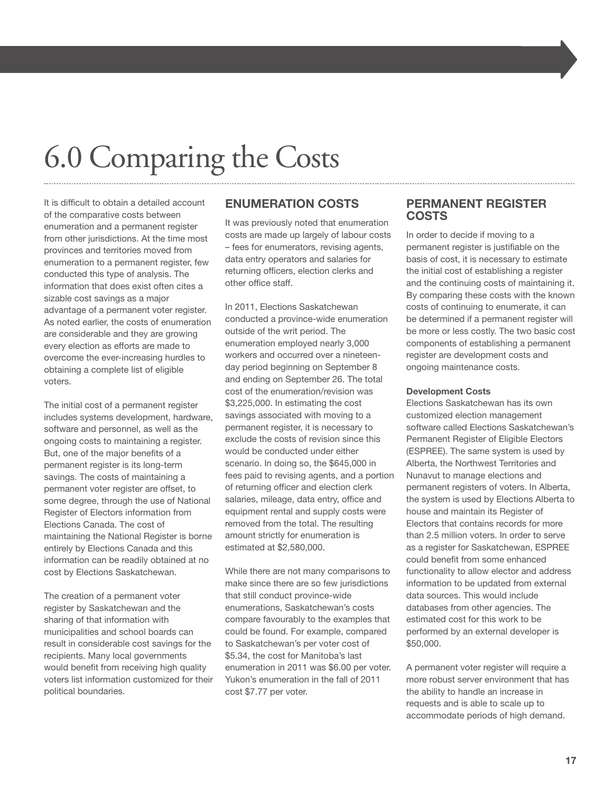## 6.0 Comparing the Costs

It is difficult to obtain a detailed account of the comparative costs between enumeration and a permanent register from other jurisdictions. At the time most provinces and territories moved from enumeration to a permanent register, few conducted this type of analysis. The information that does exist often cites a sizable cost savings as a major advantage of a permanent voter register. As noted earlier, the costs of enumeration are considerable and they are growing every election as efforts are made to overcome the ever-increasing hurdles to obtaining a complete list of eligible voters.

The initial cost of a permanent register includes systems development, hardware, software and personnel, as well as the ongoing costs to maintaining a register. But, one of the major benefits of a permanent register is its long-term savings. The costs of maintaining a permanent voter register are offset, to some degree, through the use of National Register of Electors information from Elections Canada. The cost of maintaining the National Register is borne entirely by Elections Canada and this information can be readily obtained at no cost by Elections Saskatchewan.

The creation of a permanent voter register by Saskatchewan and the sharing of that information with municipalities and school boards can result in considerable cost savings for the recipients. Many local governments would benefit from receiving high quality voters list information customized for their political boundaries.

## **ENUMERATION COSTS**

It was previously noted that enumeration costs are made up largely of labour costs – fees for enumerators, revising agents, data entry operators and salaries for returning officers, election clerks and other office staff.

In 2011, Elections Saskatchewan conducted a province-wide enumeration outside of the writ period. The enumeration employed nearly 3,000 workers and occurred over a nineteenday period beginning on September 8 and ending on September 26. The total cost of the enumeration/revision was \$3,225,000. In estimating the cost savings associated with moving to a permanent register, it is necessary to exclude the costs of revision since this would be conducted under either scenario. In doing so, the \$645,000 in fees paid to revising agents, and a portion of returning officer and election clerk salaries, mileage, data entry, office and equipment rental and supply costs were removed from the total. The resulting amount strictly for enumeration is estimated at \$2,580,000.

While there are not many comparisons to make since there are so few jurisdictions that still conduct province-wide enumerations, Saskatchewan's costs compare favourably to the examples that could be found. For example, compared to Saskatchewan's per voter cost of \$5.34, the cost for Manitoba's last enumeration in 2011 was \$6.00 per voter. Yukon's enumeration in the fall of 2011 cost \$7.77 per voter.

## **PERMANENT REGISTER COSTS**

In order to decide if moving to a permanent register is justifiable on the basis of cost, it is necessary to estimate the initial cost of establishing a register and the continuing costs of maintaining it. By comparing these costs with the known costs of continuing to enumerate, it can be determined if a permanent register will be more or less costly. The two basic cost components of establishing a permanent register are development costs and ongoing maintenance costs.

#### **Development Costs**

Elections Saskatchewan has its own customized election management software called Elections Saskatchewan's Permanent Register of Eligible Electors (ESPREE). The same system is used by Alberta, the Northwest Territories and Nunavut to manage elections and permanent registers of voters. In Alberta, the system is used by Elections Alberta to house and maintain its Register of Electors that contains records for more than 2.5 million voters. In order to serve as a register for Saskatchewan, ESPREE could benefit from some enhanced functionality to allow elector and address information to be updated from external data sources. This would include databases from other agencies. The estimated cost for this work to be performed by an external developer is \$50,000.

A permanent voter register will require a more robust server environment that has the ability to handle an increase in requests and is able to scale up to accommodate periods of high demand.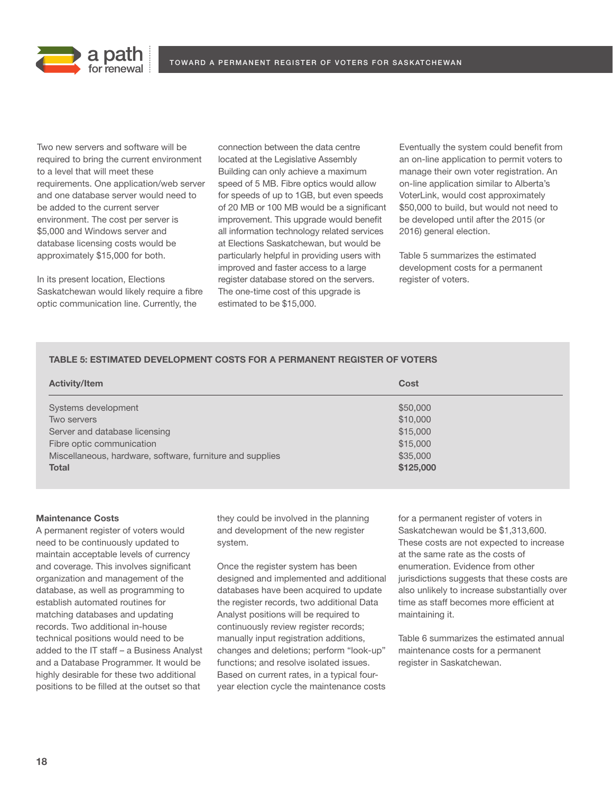

Two new servers and software will be required to bring the current environment to a level that will meet these requirements. One application/web server and one database server would need to be added to the current server environment. The cost per server is \$5,000 and Windows server and database licensing costs would be approximately \$15,000 for both.

In its present location, Elections Saskatchewan would likely require a fibre optic communication line. Currently, the

connection between the data centre located at the Legislative Assembly Building can only achieve a maximum speed of 5 MB. Fibre optics would allow for speeds of up to 1GB, but even speeds of 20 MB or 100 MB would be a significant improvement. This upgrade would benefit all information technology related services at Elections Saskatchewan, but would be particularly helpful in providing users with improved and faster access to a large register database stored on the servers. The one-time cost of this upgrade is estimated to be \$15,000.

Eventually the system could benefit from an on-line application to permit voters to manage their own voter registration. An on-line application similar to Alberta's VoterLink, would cost approximately \$50,000 to build, but would not need to be developed until after the 2015 (or 2016) general election.

Table 5 summarizes the estimated development costs for a permanent register of voters.

## **TABLE 5: ESTIMATED DEVELOPMENT COSTS FOR A PERMANENT REGISTER OF VOTERS**

| <b>Activity/Item</b>                                      | Cost      |
|-----------------------------------------------------------|-----------|
| Systems development                                       | \$50,000  |
| Two servers                                               | \$10,000  |
| Server and database licensing                             | \$15,000  |
| Fibre optic communication                                 | \$15,000  |
| Miscellaneous, hardware, software, furniture and supplies | \$35,000  |
| <b>Total</b>                                              | \$125,000 |

### **Maintenance Costs**

A permanent register of voters would need to be continuously updated to maintain acceptable levels of currency and coverage. This involves significant organization and management of the database, as well as programming to establish automated routines for matching databases and updating records. Two additional in-house technical positions would need to be added to the IT staff – a Business Analyst and a Database Programmer. It would be highly desirable for these two additional positions to be filled at the outset so that

they could be involved in the planning and development of the new register system.

Once the register system has been designed and implemented and additional databases have been acquired to update the register records, two additional Data Analyst positions will be required to continuously review register records; manually input registration additions, changes and deletions; perform "look-up" functions; and resolve isolated issues. Based on current rates, in a typical fouryear election cycle the maintenance costs for a permanent register of voters in Saskatchewan would be \$1,313,600. These costs are not expected to increase at the same rate as the costs of enumeration. Evidence from other jurisdictions suggests that these costs are also unlikely to increase substantially over time as staff becomes more efficient at maintaining it.

Table 6 summarizes the estimated annual maintenance costs for a permanent register in Saskatchewan.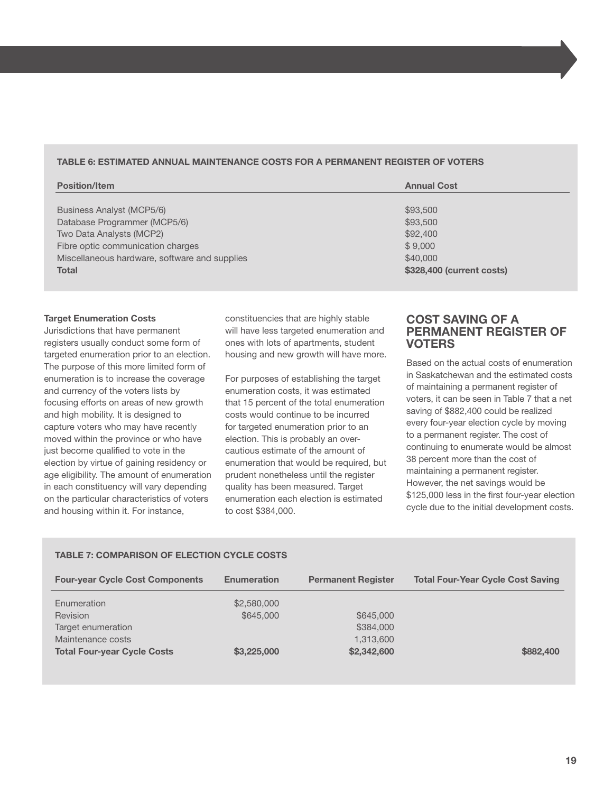## **TABLE 6: ESTIMATED ANNUAL MAINTENANCE COSTS FOR A PERMANENT REGISTER OF VOTERS**

| <b>Position/Item</b>                          | <b>Annual Cost</b>        |
|-----------------------------------------------|---------------------------|
|                                               |                           |
| Business Analyst (MCP5/6)                     | \$93,500                  |
| Database Programmer (MCP5/6)                  | \$93,500                  |
| Two Data Analysts (MCP2)                      | \$92,400                  |
| Fibre optic communication charges             | \$9,000                   |
| Miscellaneous hardware, software and supplies | \$40,000                  |
| <b>Total</b>                                  | \$328,400 (current costs) |
|                                               |                           |

#### **Target Enumeration Costs**

Jurisdictions that have permanent registers usually conduct some form of targeted enumeration prior to an election. The purpose of this more limited form of enumeration is to increase the coverage and currency of the voters lists by focusing efforts on areas of new growth and high mobility. It is designed to capture voters who may have recently moved within the province or who have just become qualified to vote in the election by virtue of gaining residency or age eligibility. The amount of enumeration in each constituency will vary depending on the particular characteristics of voters and housing within it. For instance,

constituencies that are highly stable will have less targeted enumeration and ones with lots of apartments, student housing and new growth will have more.

For purposes of establishing the target enumeration costs, it was estimated that 15 percent of the total enumeration costs would continue to be incurred for targeted enumeration prior to an election. This is probably an overcautious estimate of the amount of enumeration that would be required, but prudent nonetheless until the register quality has been measured. Target enumeration each election is estimated to cost \$384,000.

## **COST SAVING OF A PERMANENT REGISTER OF VOTERS**

Based on the actual costs of enumeration in Saskatchewan and the estimated costs of maintaining a permanent register of voters, it can be seen in Table 7 that a net saving of \$882,400 could be realized every four-year election cycle by moving to a permanent register. The cost of continuing to enumerate would be almost 38 percent more than the cost of maintaining a permanent register. However, the net savings would be \$125,000 less in the first four-year election cycle due to the initial development costs.

## **TABLE 7: COMPARISON OF ELECTION CYCLE COSTS**

| <b>Four-year Cycle Cost Components</b> | <b>Enumeration</b> | <b>Permanent Register</b> | <b>Total Four-Year Cycle Cost Saving</b> |
|----------------------------------------|--------------------|---------------------------|------------------------------------------|
| Enumeration                            | \$2,580,000        |                           |                                          |
| Revision                               | \$645,000          | \$645,000                 |                                          |
| Target enumeration                     |                    | \$384,000                 |                                          |
| Maintenance costs                      |                    | 1,313,600                 |                                          |
| <b>Total Four-year Cycle Costs</b>     | \$3,225,000        | \$2,342,600               | \$882,400                                |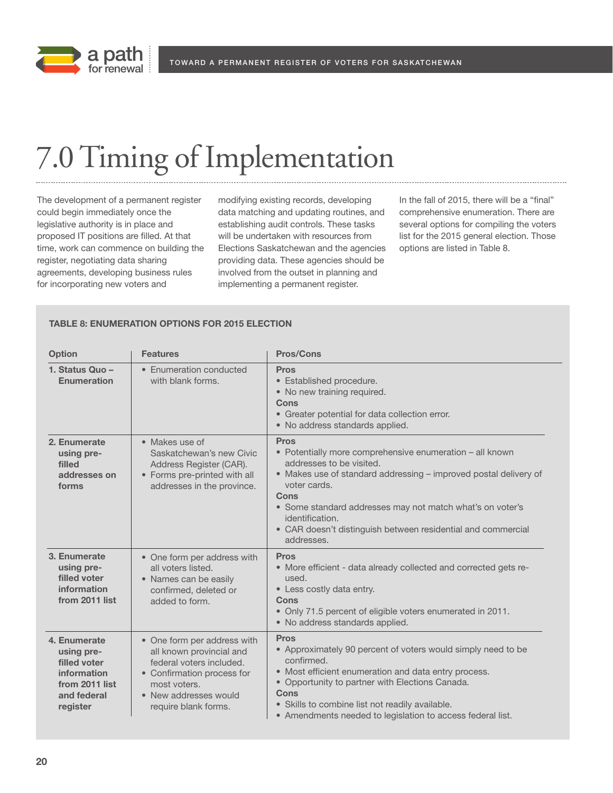

## 7.0Timing of Implementation

The development of a permanent register could begin immediately once the legislative authority is in place and proposed IT positions are filled. At that time, work can commence on building the register, negotiating data sharing agreements, developing business rules for incorporating new voters and

modifying existing records, developing data matching and updating routines, and establishing audit controls. These tasks will be undertaken with resources from Elections Saskatchewan and the agencies providing data. These agencies should be involved from the outset in planning and implementing a permanent register.

In the fall of 2015, there will be a "final" comprehensive enumeration. There are several options for compiling the voters list for the 2015 general election. Those options are listed in Table 8.

## **TABLE 8: ENUMERATION OPTIONS FOR 2015 ELECTION**

| <b>Option</b>                                                                                          | <b>Features</b>                                                                                                                                                                    | <b>Pros/Cons</b>                                                                                                                                                                                                                                                                                                                                              |
|--------------------------------------------------------------------------------------------------------|------------------------------------------------------------------------------------------------------------------------------------------------------------------------------------|---------------------------------------------------------------------------------------------------------------------------------------------------------------------------------------------------------------------------------------------------------------------------------------------------------------------------------------------------------------|
| 1. Status Quo -<br>Enumeration                                                                         | • Enumeration conducted<br>with blank forms.                                                                                                                                       | <b>Pros</b><br>• Established procedure.<br>• No new training required.<br>Cons<br>• Greater potential for data collection error.<br>• No address standards applied.                                                                                                                                                                                           |
| 2. Enumerate<br>using pre-<br>filled<br>addresses on<br>forms                                          | • Makes use of<br>Saskatchewan's new Civic<br>Address Register (CAR).<br>• Forms pre-printed with all<br>addresses in the province.                                                | <b>Pros</b><br>• Potentially more comprehensive enumeration - all known<br>addresses to be visited.<br>• Makes use of standard addressing - improved postal delivery of<br>voter cards.<br>Cons<br>• Some standard addresses may not match what's on voter's<br>identification.<br>• CAR doesn't distinguish between residential and commercial<br>addresses. |
| 3. Enumerate<br>using pre-<br>filled voter<br>information<br>from 2011 list                            | • One form per address with<br>all voters listed.<br>• Names can be easily<br>confirmed, deleted or<br>added to form.                                                              | <b>Pros</b><br>• More efficient - data already collected and corrected gets re-<br>used.<br>• Less costly data entry.<br>Cons<br>• Only 71.5 percent of eligible voters enumerated in 2011.<br>• No address standards applied.                                                                                                                                |
| 4. Enumerate<br>using pre-<br>filled voter<br>information<br>from 2011 list<br>and federal<br>register | • One form per address with<br>all known provincial and<br>federal voters included.<br>• Confirmation process for<br>most voters.<br>• New addresses would<br>require blank forms. | <b>Pros</b><br>• Approximately 90 percent of voters would simply need to be<br>confirmed.<br>• Most efficient enumeration and data entry process.<br>• Opportunity to partner with Elections Canada.<br>Cons<br>• Skills to combine list not readily available.<br>• Amendments needed to legislation to access federal list.                                 |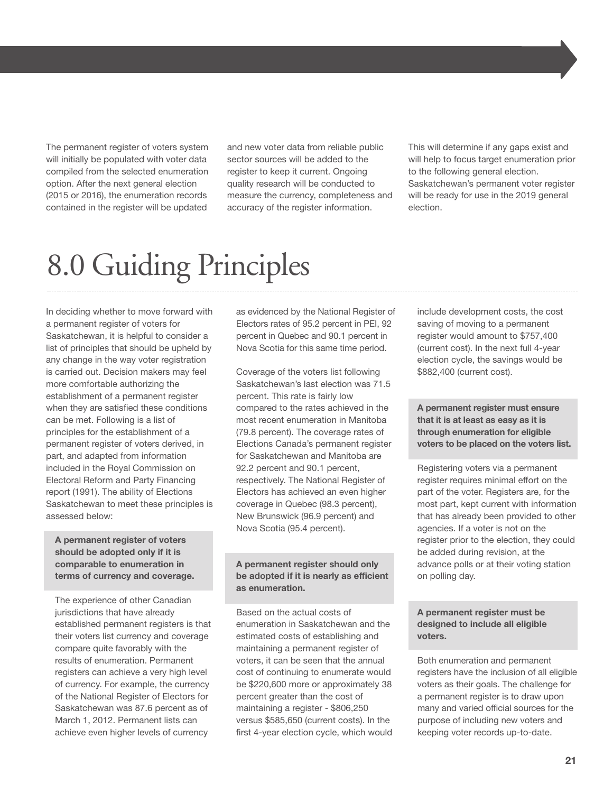The permanent register of voters system will initially be populated with voter data compiled from the selected enumeration option. After the next general election (2015 or 2016), the enumeration records contained in the register will be updated

and new voter data from reliable public sector sources will be added to the register to keep it current. Ongoing quality research will be conducted to measure the currency, completeness and accuracy of the register information.

This will determine if any gaps exist and will help to focus target enumeration prior to the following general election. Saskatchewan's permanent voter register will be ready for use in the 2019 general election.

## 8.0 Guiding Principles

In deciding whether to move forward with a permanent register of voters for Saskatchewan, it is helpful to consider a list of principles that should be upheld by any change in the way voter registration is carried out. Decision makers may feel more comfortable authorizing the establishment of a permanent register when they are satisfied these conditions can be met. Following is a list of principles for the establishment of a permanent register of voters derived, in part, and adapted from information included in the Royal Commission on Electoral Reform and Party Financing report (1991). The ability of Elections Saskatchewan to meet these principles is assessed below:

 **A permanent register of voters should be adopted only if it is comparable to enumeration in terms of currency and coverage.**

 The experience of other Canadian jurisdictions that have already established permanent registers is that their voters list currency and coverage compare quite favorably with the results of enumeration. Permanent registers can achieve a very high level of currency. For example, the currency of the National Register of Electors for Saskatchewan was 87.6 percent as of March 1, 2012. Permanent lists can achieve even higher levels of currency

as evidenced by the National Register of Electors rates of 95.2 percent in PEI, 92 percent in Quebec and 90.1 percent in Nova Scotia for this same time period.

 Coverage of the voters list following Saskatchewan's last election was 71.5 percent. This rate is fairly low compared to the rates achieved in the most recent enumeration in Manitoba (79.8 percent). The coverage rates of Elections Canada's permanent register for Saskatchewan and Manitoba are 92.2 percent and 90.1 percent, respectively. The National Register of Electors has achieved an even higher coverage in Quebec (98.3 percent), New Brunswick (96.9 percent) and Nova Scotia (95.4 percent).

## **A permanent register should only be adopted if it is nearly as efficient as enumeration.**

 Based on the actual costs of enumeration in Saskatchewan and the estimated costs of establishing and maintaining a permanent register of voters, it can be seen that the annual cost of continuing to enumerate would be \$220,600 more or approximately 38 percent greater than the cost of maintaining a register - \$806,250 versus \$585,650 (current costs). In the first 4-year election cycle, which would include development costs, the cost saving of moving to a permanent register would amount to \$757,400 (current cost). In the next full 4-year election cycle, the savings would be \$882,400 (current cost).

 **A permanent register must ensure that it is at least as easy as it is through enumeration for eligible voters to be placed on the voters list.**

 Registering voters via a permanent register requires minimal effort on the part of the voter. Registers are, for the most part, kept current with information that has already been provided to other agencies. If a voter is not on the register prior to the election, they could be added during revision, at the advance polls or at their voting station on polling day.

## **A permanent register must be designed to include all eligible voters.**

 Both enumeration and permanent registers have the inclusion of all eligible voters as their goals. The challenge for a permanent register is to draw upon many and varied official sources for the purpose of including new voters and keeping voter records up-to-date.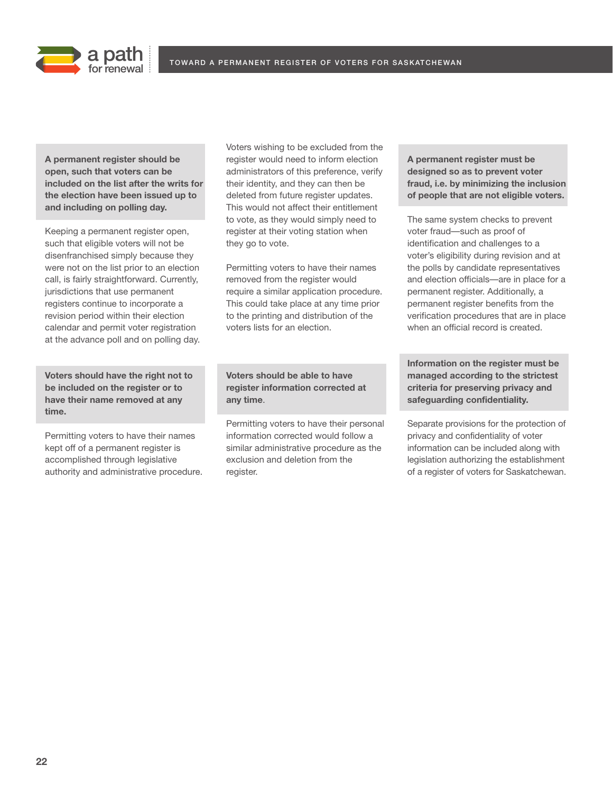



 **A permanent register should be open, such that voters can be included on the list after the writs for the election have been issued up to and including on polling day.**

 Keeping a permanent register open, such that eligible voters will not be disenfranchised simply because they were not on the list prior to an election call, is fairly straightforward. Currently, jurisdictions that use permanent registers continue to incorporate a revision period within their election calendar and permit voter registration at the advance poll and on polling day.

 **Voters should have the right not to be included on the register or to have their name removed at any time.**

 Permitting voters to have their names kept off of a permanent register is accomplished through legislative authority and administrative procedure. Voters wishing to be excluded from the register would need to inform election administrators of this preference, verify their identity, and they can then be deleted from future register updates. This would not affect their entitlement to vote, as they would simply need to register at their voting station when they go to vote.

 Permitting voters to have their names removed from the register would require a similar application procedure. This could take place at any time prior to the printing and distribution of the voters lists for an election.

 **Voters should be able to have register information corrected at any time**.

 Permitting voters to have their personal information corrected would follow a similar administrative procedure as the exclusion and deletion from the register.

 **A permanent register must be designed so as to prevent voter fraud, i.e. by minimizing the inclusion of people that are not eligible voters.**

 The same system checks to prevent voter fraud—such as proof of identification and challenges to a voter's eligibility during revision and at the polls by candidate representatives and election officials—are in place for a permanent register. Additionally, a permanent register benefits from the verification procedures that are in place when an official record is created.

 **Information on the register must be managed according to the strictest criteria for preserving privacy and safeguarding confidentiality.**

 Separate provisions for the protection of privacy and confidentiality of voter information can be included along with legislation authorizing the establishment of a register of voters for Saskatchewan.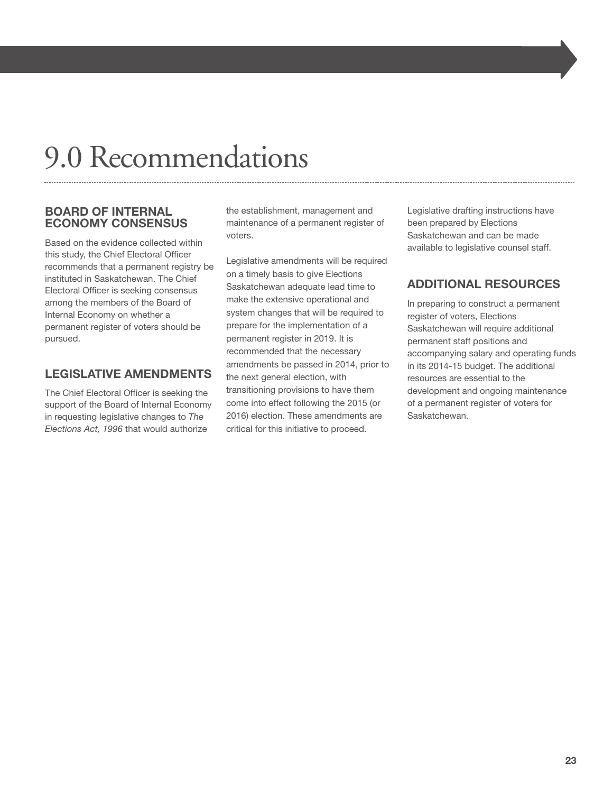## 9.0 Recommendations

## **BOARD OF INTERNAL ECONOMY CONSENSUS**

Based on the evidence collected within this study, the Chief Electoral Officer recommends that a permanent registry be instituted in Saskatchewan. The Chief Electoral Officer is seeking consensus among the members of the Board of Internal Economy on whether a permanent register of voters should be pursued.

## **LEGISLATIVE AMENDMENTS**

The Chief Electoral Officer is seeking the support of the Board of Internal Economy in requesting legislative changes to *The Elections Act, 1996* that would authorize

the establishment, management and maintenance of a permanent register of voters.

Legislative amendments will be required on a timely basis to give Elections Saskatchewan adequate lead time to make the extensive operational and system changes that will be required to prepare for the implementation of a permanent register in 2019. It is recommended that the necessary amendments be passed in 2014, prior to the next general election, with transitioning provisions to have them come into effect following the 2015 (or 2016) election. These amendments are critical for this initiative to proceed.

Legislative drafting instructions have been prepared by Elections Saskatchewan and can be made available to legislative counsel staff.

## **ADDITIONAL RESOURCES**

In preparing to construct a permanent register of voters, Elections Saskatchewan will require additional permanent staff positions and accompanying salary and operating funds in its 2014-15 budget. The additional resources are essential to the development and ongoing maintenance of a permanent register of voters for Saskatchewan.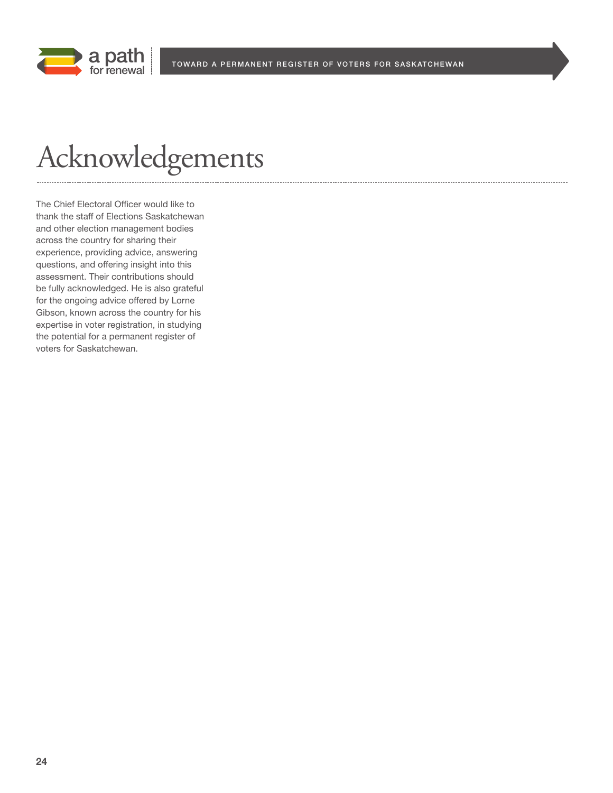

## Acknowledgements

The Chief Electoral Officer would like to thank the staff of Elections Saskatchewan and other election management bodies across the country for sharing their experience, providing advice, answering questions, and offering insight into this assessment. Their contributions should be fully acknowledged. He is also grateful for the ongoing advice offered by Lorne Gibson, known across the country for his expertise in voter registration, in studying the potential for a permanent register of voters for Saskatchewan.